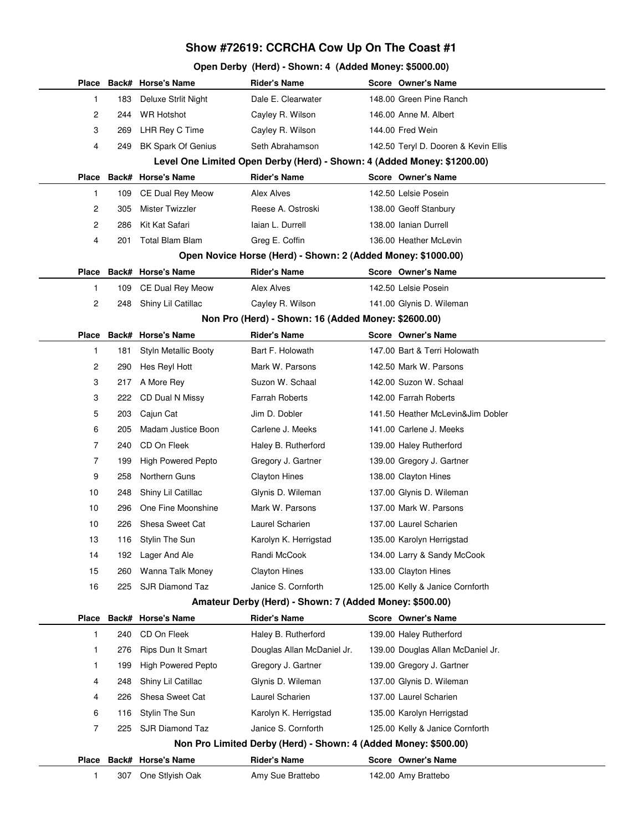## **Show #72619: CCRCHA Cow Up On The Coast #1**

## **Open Derby (Herd) - Shown: 4 (Added Money: \$5000.00)**

|                                                              |                                                                         | Place Back# Horse's Name  | <b>Rider's Name</b>        |  | <b>Score Owner's Name</b>            |  |  |  |
|--------------------------------------------------------------|-------------------------------------------------------------------------|---------------------------|----------------------------|--|--------------------------------------|--|--|--|
| 1                                                            | 183                                                                     | Deluxe Strlit Night       | Dale E. Clearwater         |  | 148.00 Green Pine Ranch              |  |  |  |
| 2                                                            | 244                                                                     | <b>WR Hotshot</b>         | Cayley R. Wilson           |  | 146.00 Anne M. Albert                |  |  |  |
| 3                                                            | 269                                                                     | LHR Rey C Time            | Cayley R. Wilson           |  | 144.00 Fred Wein                     |  |  |  |
| 4                                                            | 249                                                                     | <b>BK Spark Of Genius</b> | Seth Abrahamson            |  | 142.50 Teryl D. Dooren & Kevin Ellis |  |  |  |
|                                                              | Level One Limited Open Derby (Herd) - Shown: 4 (Added Money: \$1200.00) |                           |                            |  |                                      |  |  |  |
| Place                                                        |                                                                         | Back# Horse's Name        | <b>Rider's Name</b>        |  | <b>Score Owner's Name</b>            |  |  |  |
| 1                                                            | 109                                                                     | <b>CE Dual Rey Meow</b>   | Alex Alves                 |  | 142.50 Lelsie Posein                 |  |  |  |
| 2                                                            | 305                                                                     | Mister Twizzler           | Reese A. Ostroski          |  | 138.00 Geoff Stanbury                |  |  |  |
| 2                                                            | 286                                                                     | Kit Kat Safari            | laian L. Durrell           |  | 138.00 Ianian Durrell                |  |  |  |
| 4                                                            | 201                                                                     | <b>Total Blam Blam</b>    | Greg E. Coffin             |  | 136.00 Heather McLevin               |  |  |  |
| Open Novice Horse (Herd) - Shown: 2 (Added Money: \$1000.00) |                                                                         |                           |                            |  |                                      |  |  |  |
| Place                                                        |                                                                         | Back# Horse's Name        | <b>Rider's Name</b>        |  | Score Owner's Name                   |  |  |  |
| 1                                                            | 109                                                                     | CE Dual Rey Meow          | Alex Alves                 |  | 142.50 Lelsie Posein                 |  |  |  |
| 2                                                            | 248                                                                     | Shiny Lil Catillac        | Cayley R. Wilson           |  | 141.00 Glynis D. Wileman             |  |  |  |
|                                                              | Non Pro (Herd) - Shown: 16 (Added Money: \$2600.00)                     |                           |                            |  |                                      |  |  |  |
| Place                                                        |                                                                         | Back# Horse's Name        | <b>Rider's Name</b>        |  | Score Owner's Name                   |  |  |  |
| 1                                                            | 181                                                                     | Styln Metallic Booty      | Bart F. Holowath           |  | 147.00 Bart & Terri Holowath         |  |  |  |
| 2                                                            | 290                                                                     | Hes Reyl Hott             | Mark W. Parsons            |  | 142.50 Mark W. Parsons               |  |  |  |
| 3                                                            | 217                                                                     | A More Rey                | Suzon W. Schaal            |  | 142.00 Suzon W. Schaal               |  |  |  |
| 3                                                            | 222                                                                     | CD Dual N Missy           | <b>Farrah Roberts</b>      |  | 142.00 Farrah Roberts                |  |  |  |
| 5                                                            | 203                                                                     | Cajun Cat                 | Jim D. Dobler              |  | 141.50 Heather McLevin&Jim Dobler    |  |  |  |
| 6                                                            | 205                                                                     | Madam Justice Boon        | Carlene J. Meeks           |  | 141.00 Carlene J. Meeks              |  |  |  |
| 7                                                            | 240                                                                     | CD On Fleek               | Haley B. Rutherford        |  | 139.00 Haley Rutherford              |  |  |  |
| 7                                                            | 199                                                                     | <b>High Powered Pepto</b> | Gregory J. Gartner         |  | 139.00 Gregory J. Gartner            |  |  |  |
| 9                                                            | 258                                                                     | Northern Guns             | <b>Clayton Hines</b>       |  | 138.00 Clayton Hines                 |  |  |  |
| 10                                                           | 248                                                                     | Shiny Lil Catillac        | Glynis D. Wileman          |  | 137.00 Glynis D. Wileman             |  |  |  |
| 10                                                           | 296                                                                     | One Fine Moonshine        | Mark W. Parsons            |  | 137.00 Mark W. Parsons               |  |  |  |
| 10                                                           | 226                                                                     | Shesa Sweet Cat           | Laurel Scharien            |  | 137.00 Laurel Scharien               |  |  |  |
| 13                                                           | 116                                                                     | Stylin The Sun            | Karolyn K. Herrigstad      |  | 135.00 Karolyn Herrigstad            |  |  |  |
| 14                                                           | 192                                                                     | Lager And Ale             | Randi McCook               |  | 134.00 Larry & Sandy McCook          |  |  |  |
| 15                                                           | 260                                                                     | Wanna Talk Money          | <b>Clayton Hines</b>       |  | 133.00 Clayton Hines                 |  |  |  |
| 16                                                           | 225                                                                     | <b>SJR Diamond Taz</b>    | Janice S. Cornforth        |  | 125.00 Kelly & Janice Cornforth      |  |  |  |
|                                                              | Amateur Derby (Herd) - Shown: 7 (Added Money: \$500.00)                 |                           |                            |  |                                      |  |  |  |
| Place                                                        |                                                                         | Back# Horse's Name        | <b>Rider's Name</b>        |  | Score Owner's Name                   |  |  |  |
| 1                                                            | 240                                                                     | CD On Fleek               | Haley B. Rutherford        |  | 139.00 Haley Rutherford              |  |  |  |
| 1                                                            | 276                                                                     | Rips Dun It Smart         | Douglas Allan McDaniel Jr. |  | 139.00 Douglas Allan McDaniel Jr.    |  |  |  |
| 1.                                                           | 199                                                                     | <b>High Powered Pepto</b> | Gregory J. Gartner         |  | 139.00 Gregory J. Gartner            |  |  |  |
| 4                                                            | 248                                                                     | Shiny Lil Catillac        | Glynis D. Wileman          |  | 137.00 Glynis D. Wileman             |  |  |  |
| 4                                                            | 226                                                                     | Shesa Sweet Cat           | Laurel Scharien            |  | 137.00 Laurel Scharien               |  |  |  |
| 6                                                            | 116                                                                     | Stylin The Sun            | Karolyn K. Herrigstad      |  | 135.00 Karolyn Herrigstad            |  |  |  |
| 7                                                            | 225                                                                     | SJR Diamond Taz           | Janice S. Cornforth        |  | 125.00 Kelly & Janice Cornforth      |  |  |  |
|                                                              | Non Pro Limited Derby (Herd) - Shown: 4 (Added Money: \$500.00)         |                           |                            |  |                                      |  |  |  |
| Place                                                        |                                                                         | Back# Horse's Name        | <b>Rider's Name</b>        |  | Score Owner's Name                   |  |  |  |
| 1                                                            | 307                                                                     | One Stlyish Oak           | Amy Sue Brattebo           |  | 142.00 Amy Brattebo                  |  |  |  |